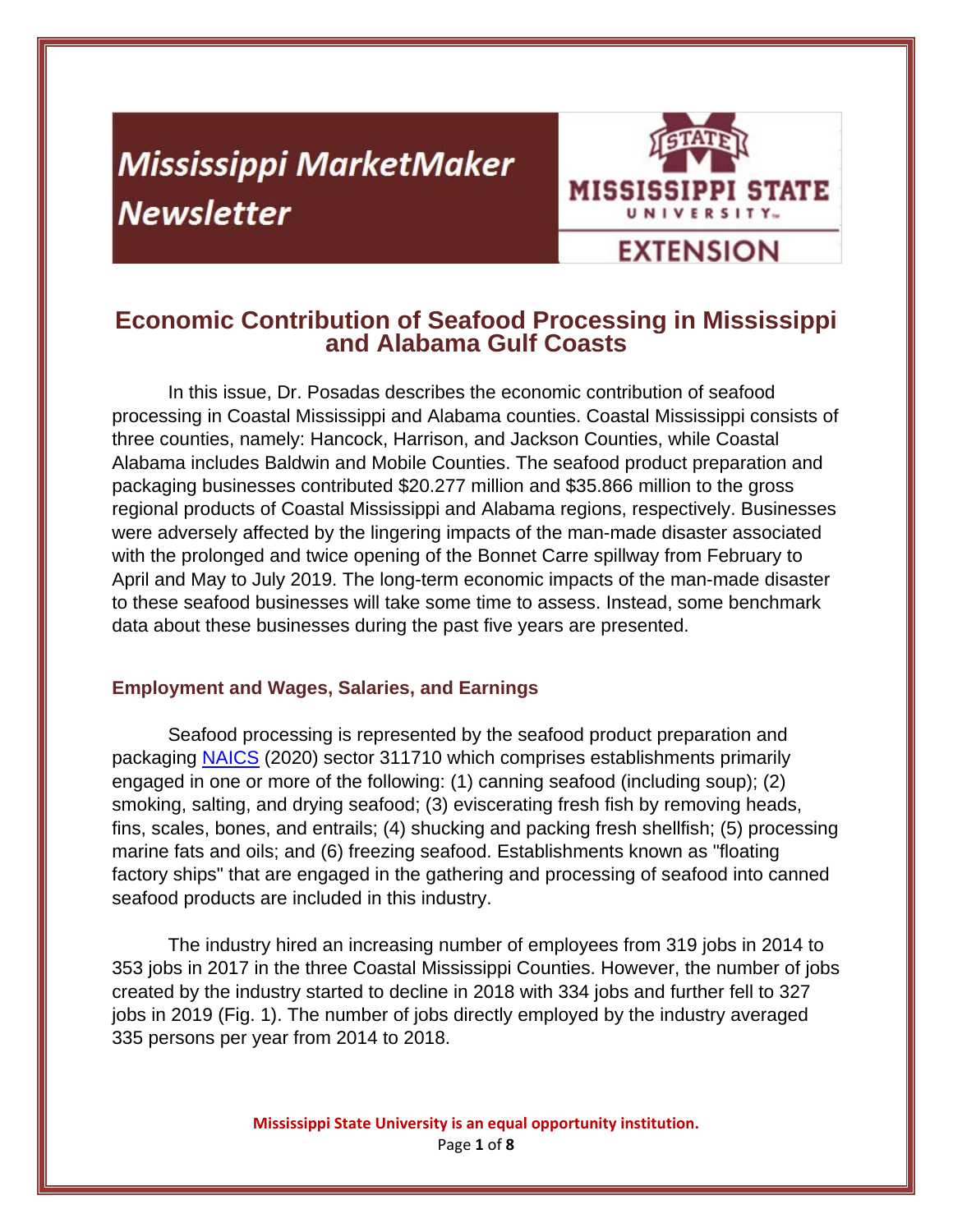# **Mississippi MarketMaker Newsletter**



# **Economic Contribution of Seafood Processing in Mississippi and Alabama Gulf Coasts**

In this issue, Dr. Posadas describes the economic contribution of seafood processing in Coastal Mississippi and Alabama counties. Coastal Mississippi consists of three counties, namely: Hancock, Harrison, and Jackson Counties, while Coastal Alabama includes Baldwin and Mobile Counties. The seafood product preparation and packaging businesses contributed \$20.277 million and \$35.866 million to the gross regional products of Coastal Mississippi and Alabama regions, respectively. Businesses were adversely affected by the lingering impacts of the man-made disaster associated with the prolonged and twice opening of the Bonnet Carre spillway from February to April and May to July 2019. The long-term economic impacts of the man-made disaster to these seafood businesses will take some time to assess. Instead, some benchmark data about these businesses during the past five years are presented.

### **Employment and Wages, Salaries, and Earnings**

Seafood processing is represented by the seafood product preparation and packaging NAICS (2020) sector 311710 which comprises establishments primarily engaged in one or more of the following: (1) canning seafood (including soup); (2) smoking, salting, and drying seafood; (3) eviscerating fresh fish by removing heads, fins, scales, bones, and entrails; (4) shucking and packing fresh shellfish; (5) processing marine fats and oils; and (6) freezing seafood. Establishments known as "floating factory ships" that are engaged in the gathering and processing of seafood into canned seafood products are included in this industry.

The industry hired an increasing number of employees from 319 jobs in 2014 to 353 jobs in 2017 in the three Coastal Mississippi Counties. However, the number of jobs created by the industry started to decline in 2018 with 334 jobs and further fell to 327 jobs in 2019 (Fig. 1). The number of jobs directly employed by the industry averaged 335 persons per year from 2014 to 2018.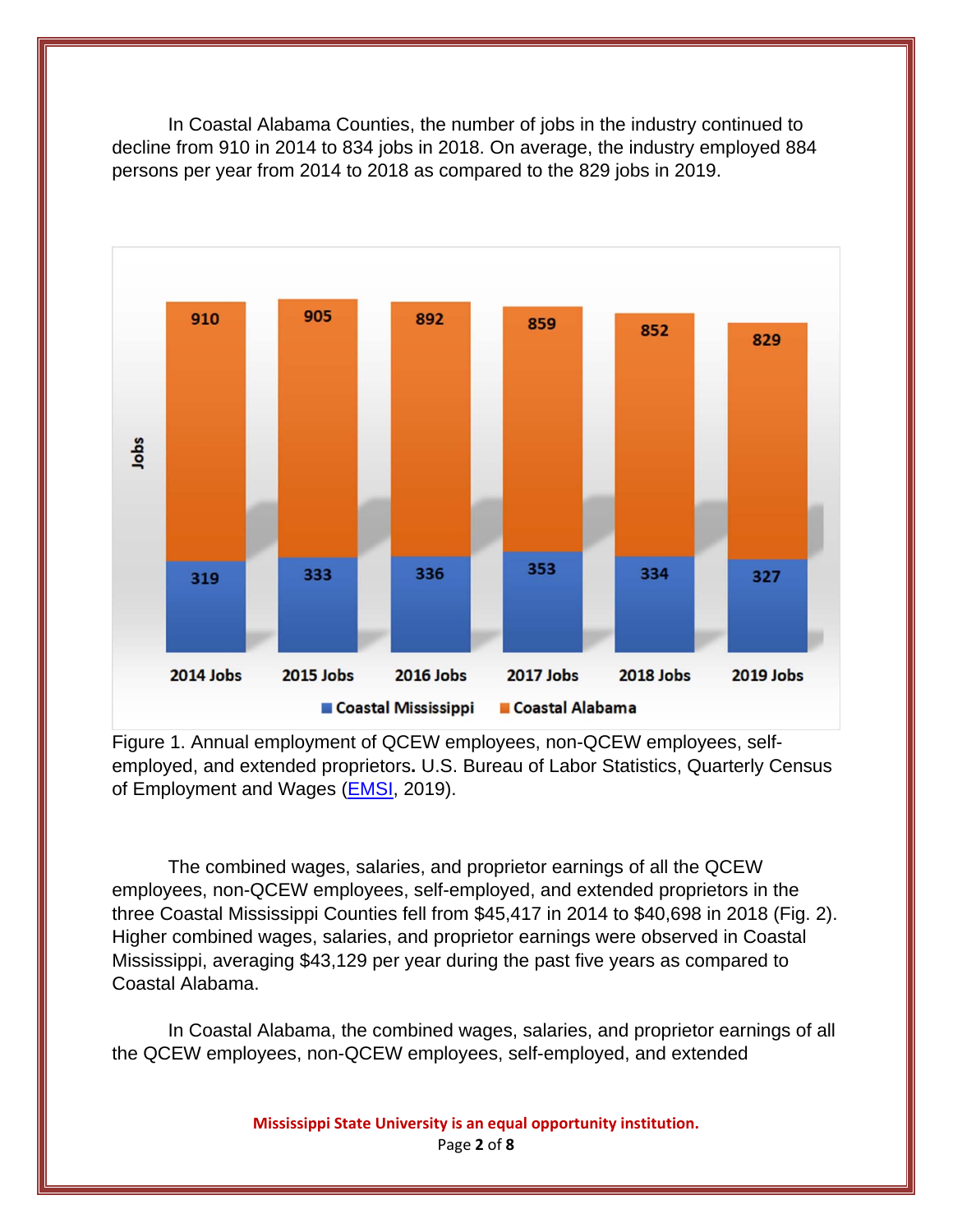In Coastal Alabama Counties, the number of jobs in the industry continued to decline from 910 in 2014 to 834 jobs in 2018. On average, the industry employed 884 persons per year from 2014 to 2018 as compared to the 829 jobs in 2019.



Figure 1. Annual employment of QCEW employees, non-QCEW employees, selfemployed, and extended proprietors**.** U.S. Bureau of Labor Statistics, Quarterly Census of Employment and Wages (**EMSI**, 2019).

The combined wages, salaries, and proprietor earnings of all the QCEW employees, non-QCEW employees, self-employed, and extended proprietors in the three Coastal Mississippi Counties fell from \$45,417 in 2014 to \$40,698 in 2018 (Fig. 2). Higher combined wages, salaries, and proprietor earnings were observed in Coastal Mississippi, averaging \$43,129 per year during the past five years as compared to Coastal Alabama.

In Coastal Alabama, the combined wages, salaries, and proprietor earnings of all the QCEW employees, non-QCEW employees, self-employed, and extended

**Mississippi State University is an equal opportunity institution.**

Page **2** of **8**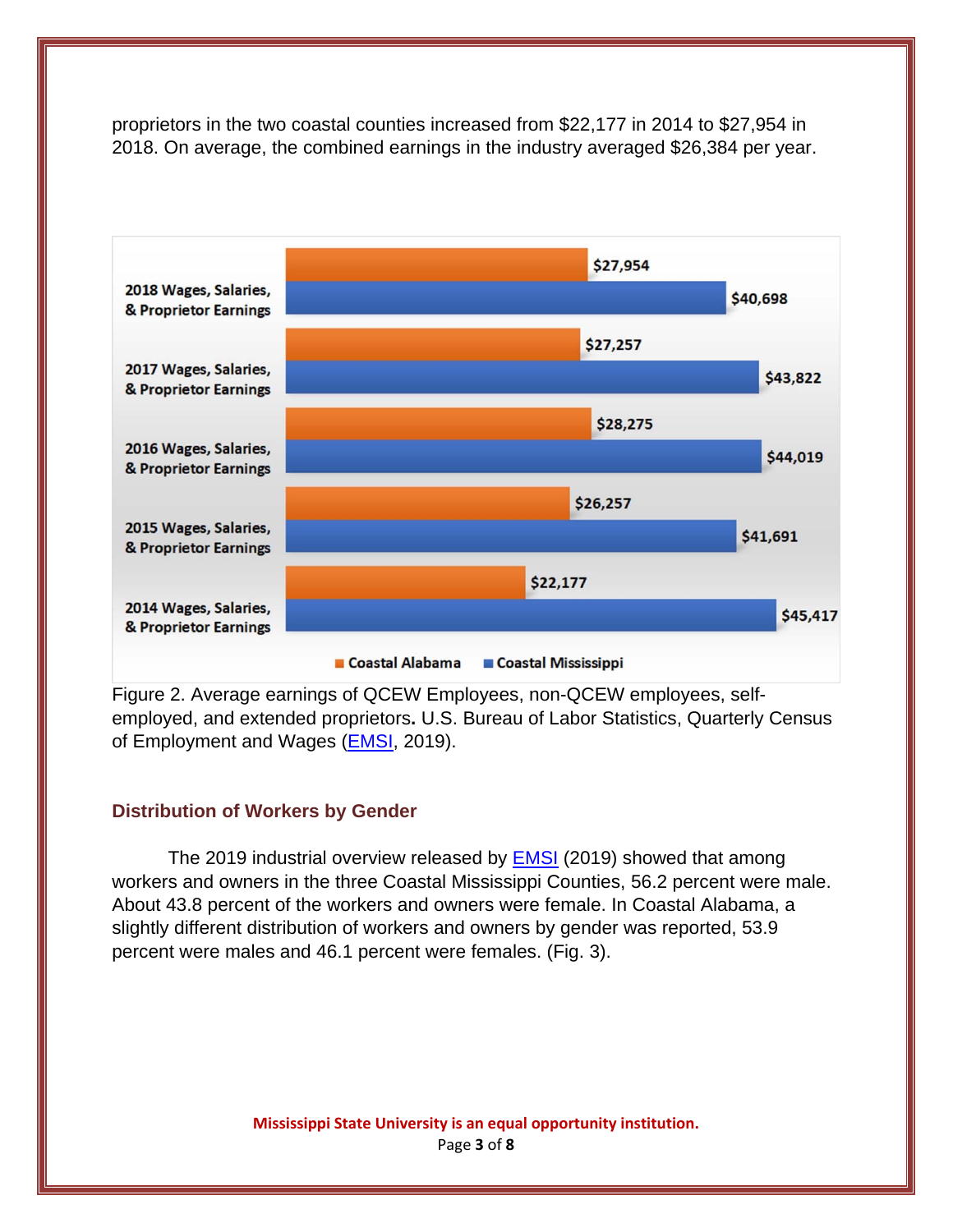proprietors in the two coastal counties increased from \$22,177 in 2014 to \$27,954 in 2018. On average, the combined earnings in the industry averaged \$26,384 per year.



Figure 2. Average earnings of QCEW Employees, non-QCEW employees, selfemployed, and extended proprietors**.** U.S. Bureau of Labor Statistics, Quarterly Census of Employment and Wages (**EMSI**, 2019).

#### **Distribution of Workers by Gender**

The 2019 industrial overview released by EMSI (2019) showed that among workers and owners in the three Coastal Mississippi Counties, 56.2 percent were male. About 43.8 percent of the workers and owners were female. In Coastal Alabama, a slightly different distribution of workers and owners by gender was reported, 53.9 percent were males and 46.1 percent were females. (Fig. 3).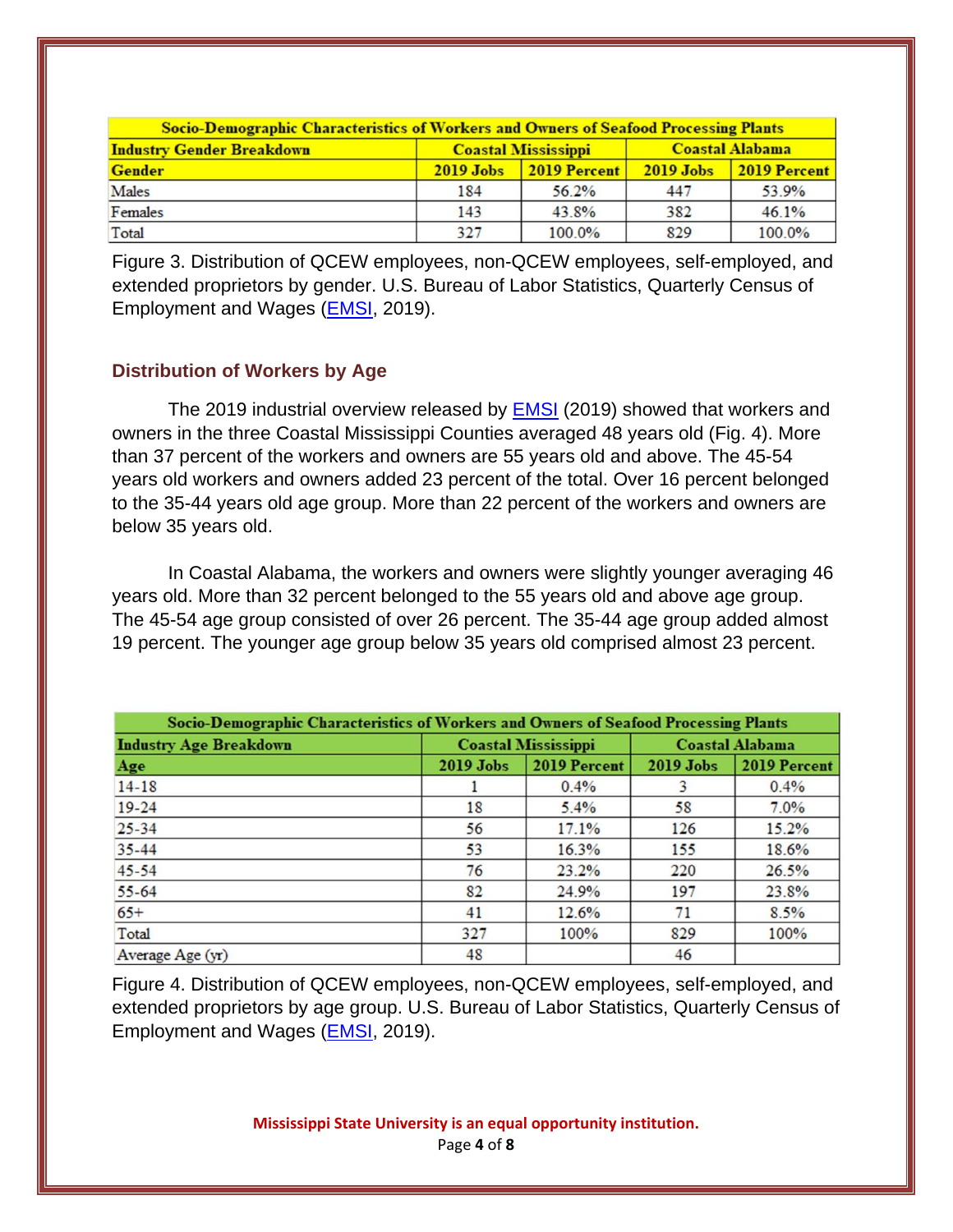| <b>Socio-Demographic Characteristics of Workers and Owners of Seafood Processing Plants</b> |                            |                 |                        |              |  |  |
|---------------------------------------------------------------------------------------------|----------------------------|-----------------|------------------------|--------------|--|--|
| <b>Industry Gender Breakdown</b>                                                            | <b>Coastal Mississippi</b> |                 | <b>Coastal Alabama</b> |              |  |  |
| <b>Gender</b>                                                                               | $2019$ Jobs                | $ 2019$ Percent | <b>2019 Jobs</b>       | 2019 Percent |  |  |
| Males                                                                                       | 184                        | 56.2%           | 447                    | 53.9%        |  |  |
| Females                                                                                     | 143                        | 43.8%           | 382                    | 46.1%        |  |  |
| Total                                                                                       | 327                        | 100.0%          | 829                    | 100.0%       |  |  |

Figure 3. Distribution of QCEW employees, non-QCEW employees, self-employed, and extended proprietors by gender. U.S. Bureau of Labor Statistics, Quarterly Census of Employment and Wages (EMSI, 2019).

#### **Distribution of Workers by Age**

The 2019 industrial overview released by **EMSI** (2019) showed that workers and owners in the three Coastal Mississippi Counties averaged 48 years old (Fig. 4). More than 37 percent of the workers and owners are 55 years old and above. The 45-54 years old workers and owners added 23 percent of the total. Over 16 percent belonged to the 35-44 years old age group. More than 22 percent of the workers and owners are below 35 years old.

 In Coastal Alabama, the workers and owners were slightly younger averaging 46 years old. More than 32 percent belonged to the 55 years old and above age group. The 45-54 age group consisted of over 26 percent. The 35-44 age group added almost 19 percent. The younger age group below 35 years old comprised almost 23 percent.

| Socio-Demographic Characteristics of Workers and Owners of Seafood Processing Plants |                            |              |                        |              |  |  |
|--------------------------------------------------------------------------------------|----------------------------|--------------|------------------------|--------------|--|--|
| <b>Industry Age Breakdown</b>                                                        | <b>Coastal Mississippi</b> |              | <b>Coastal Alabama</b> |              |  |  |
| Age                                                                                  | <b>2019 Jobs</b>           | 2019 Percent | <b>2019 Jobs</b>       | 2019 Percent |  |  |
| $14 - 18$                                                                            |                            | 0.4%         |                        | 0.4%         |  |  |
| $19 - 24$                                                                            | 18                         | 5.4%         | 58                     | 7.0%         |  |  |
| $25 - 34$                                                                            | 56                         | 17.1%        | 126                    | 15.2%        |  |  |
| $35 - 44$                                                                            | 53                         | 16.3%        | 155                    | 18.6%        |  |  |
| $45 - 54$                                                                            | 76                         | 23.2%        | 220                    | 26.5%        |  |  |
| $55 - 64$                                                                            | 82                         | 24.9%        | 197                    | 23.8%        |  |  |
| $65+$                                                                                | 41                         | 12.6%        | 71                     | 8.5%         |  |  |
| Total                                                                                | 327                        | 100%         | 829                    | 100%         |  |  |
| Average Age (yr)                                                                     | 48                         |              | 46                     |              |  |  |

Figure 4. Distribution of QCEW employees, non-QCEW employees, self-employed, and extended proprietors by age group. U.S. Bureau of Labor Statistics, Quarterly Census of Employment and Wages (EMSI, 2019).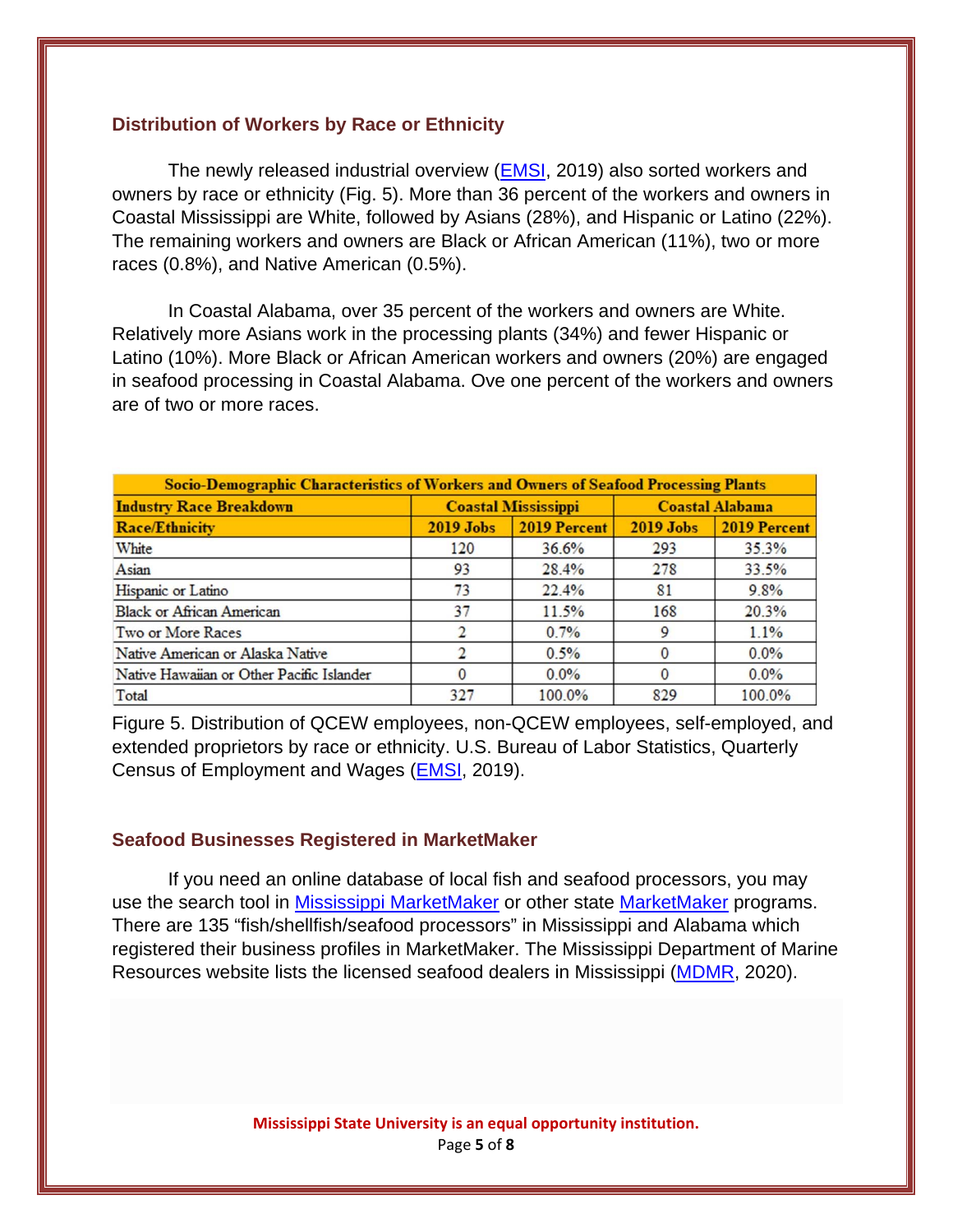#### **Distribution of Workers by Race or Ethnicity**

The newly released industrial overview (EMSI, 2019) also sorted workers and owners by race or ethnicity (Fig. 5). More than 36 percent of the workers and owners in Coastal Mississippi are White, followed by Asians (28%), and Hispanic or Latino (22%). The remaining workers and owners are Black or African American (11%), two or more races (0.8%), and Native American (0.5%).

In Coastal Alabama, over 35 percent of the workers and owners are White. Relatively more Asians work in the processing plants (34%) and fewer Hispanic or Latino (10%). More Black or African American workers and owners (20%) are engaged in seafood processing in Coastal Alabama. Ove one percent of the workers and owners are of two or more races.

| Socio-Demographic Characteristics of Workers and Owners of Seafood Processing Plants |                            |              |                        |              |  |  |  |
|--------------------------------------------------------------------------------------|----------------------------|--------------|------------------------|--------------|--|--|--|
| <b>Industry Race Breakdown</b>                                                       | <b>Coastal Mississippi</b> |              | <b>Coastal Alabama</b> |              |  |  |  |
| <b>Race/Ethnicity</b>                                                                | $2019$ Jobs                | 2019 Percent | $2019$ Jobs            | 2019 Percent |  |  |  |
| White                                                                                | 120                        | 36.6%        | 293                    | 35.3%        |  |  |  |
| Asian                                                                                | 93                         | 28.4%        | 278                    | 33.5%        |  |  |  |
| Hispanic or Latino                                                                   | 73                         | 22.4%        | 81                     | 9.8%         |  |  |  |
| <b>Black or African American</b>                                                     | 37                         | 11.5%        | 168                    | 20.3%        |  |  |  |
| Two or More Races                                                                    |                            | $0.7\%$      | 9                      | 1.1%         |  |  |  |
| Native American or Alaska Native                                                     |                            | 0.5%         | $\Omega$               | $0.0\%$      |  |  |  |
| Native Hawaiian or Other Pacific Islander                                            |                            | $0.0\%$      |                        | $0.0\%$      |  |  |  |
| Total                                                                                | 327                        | 100.0%       | 829                    | 100.0%       |  |  |  |

Figure 5. Distribution of QCEW employees, non-QCEW employees, self-employed, and extended proprietors by race or ethnicity. U.S. Bureau of Labor Statistics, Quarterly Census of Employment and Wages (EMSI, 2019).

#### **Seafood Businesses Registered in MarketMaker**

If you need an online database of local fish and seafood processors, you may use the search tool in Mississippi MarketMaker or other state MarketMaker programs. There are 135 "fish/shellfish/seafood processors" in Mississippi and Alabama which registered their business profiles in MarketMaker. The Mississippi Department of Marine Resources website lists the licensed seafood dealers in Mississippi (MDMR, 2020).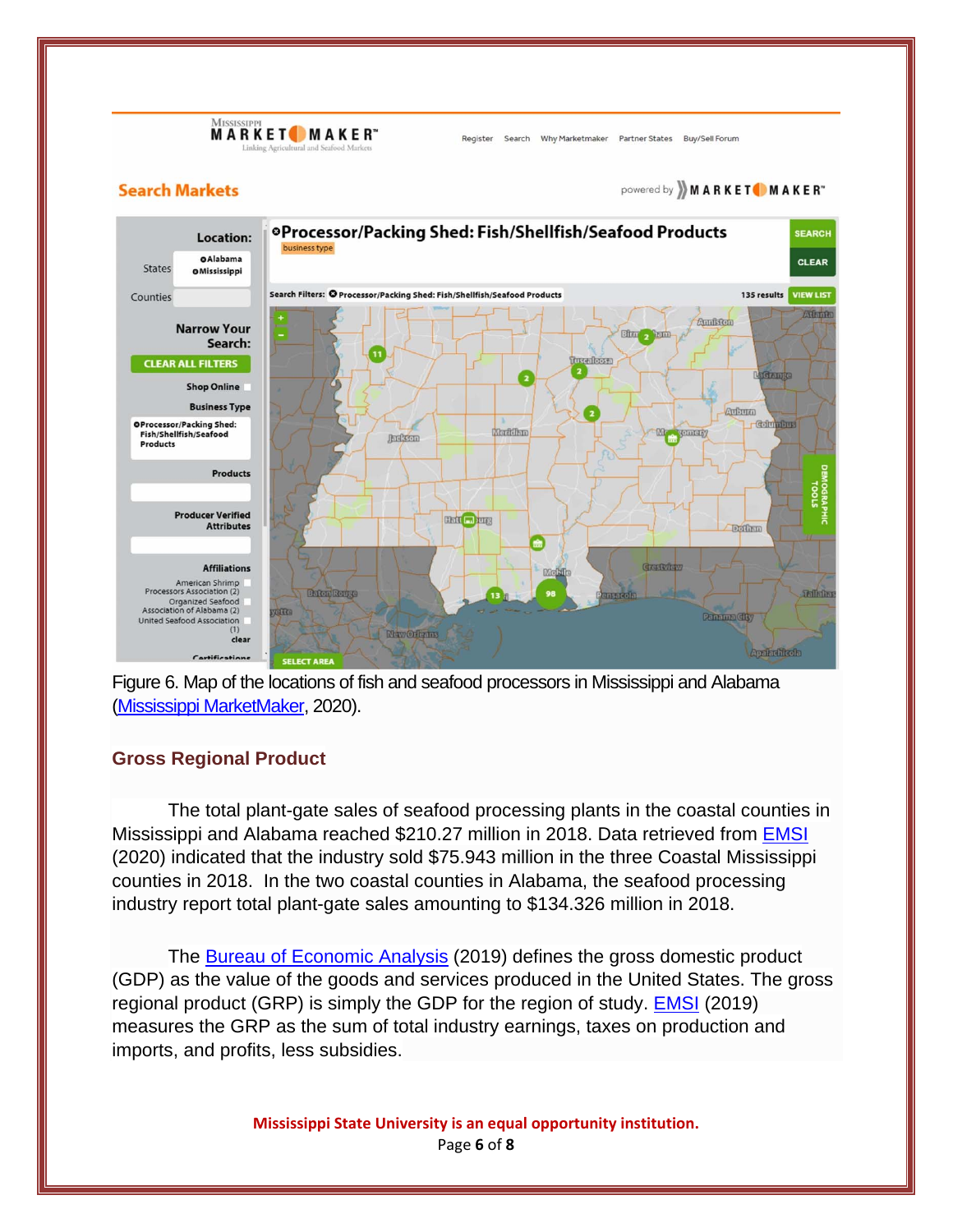MISSISSI **MARKET MAKER** 

Register Search Why Marketmaker Partner States Buy/Sell Forum

#### **Search Markets**

powered by **MARKET** MAKER"





#### **Gross Regional Product**

The total plant-gate sales of seafood processing plants in the coastal counties in Mississippi and Alabama reached \$210.27 million in 2018. Data retrieved from EMSI (2020) indicated that the industry sold \$75.943 million in the three Coastal Mississippi counties in 2018. In the two coastal counties in Alabama, the seafood processing industry report total plant-gate sales amounting to \$134.326 million in 2018.

 The Bureau of Economic Analysis (2019) defines the gross domestic product (GDP) as the value of the goods and services produced in the United States. The gross regional product (GRP) is simply the GDP for the region of study. EMSI (2019) measures the GRP as the sum of total industry earnings, taxes on production and imports, and profits, less subsidies.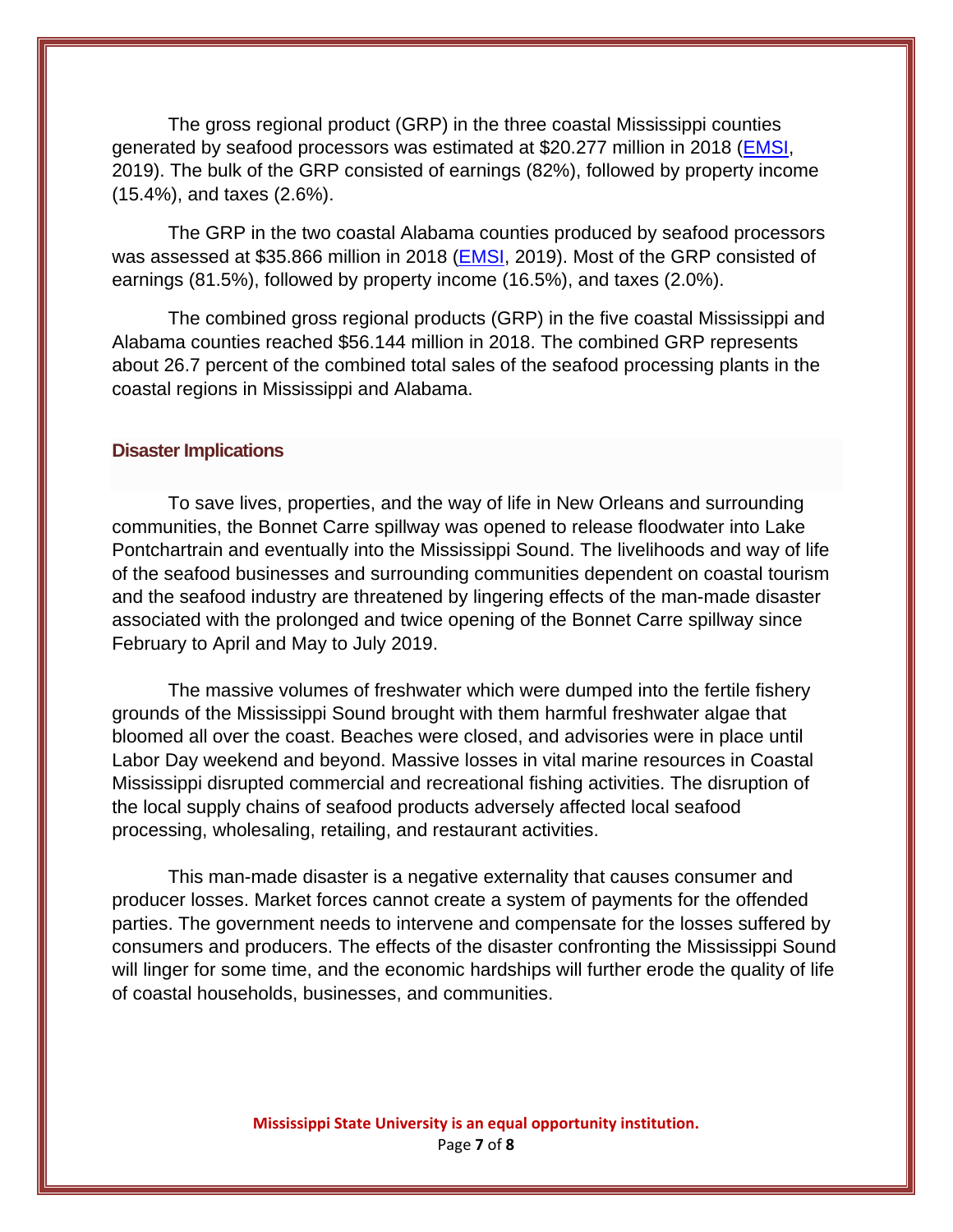The gross regional product (GRP) in the three coastal Mississippi counties generated by seafood processors was estimated at \$20.277 million in 2018 (EMSI, 2019). The bulk of the GRP consisted of earnings (82%), followed by property income (15.4%), and taxes (2.6%).

The GRP in the two coastal Alabama counties produced by seafood processors was assessed at \$35.866 million in 2018 (EMSI, 2019). Most of the GRP consisted of earnings (81.5%), followed by property income (16.5%), and taxes (2.0%).

The combined gross regional products (GRP) in the five coastal Mississippi and Alabama counties reached \$56.144 million in 2018. The combined GRP represents about 26.7 percent of the combined total sales of the seafood processing plants in the coastal regions in Mississippi and Alabama.

#### **Disaster Implications**

To save lives, properties, and the way of life in New Orleans and surrounding communities, the Bonnet Carre spillway was opened to release floodwater into Lake Pontchartrain and eventually into the Mississippi Sound. The livelihoods and way of life of the seafood businesses and surrounding communities dependent on coastal tourism and the seafood industry are threatened by lingering effects of the man-made disaster associated with the prolonged and twice opening of the Bonnet Carre spillway since February to April and May to July 2019.

The massive volumes of freshwater which were dumped into the fertile fishery grounds of the Mississippi Sound brought with them harmful freshwater algae that bloomed all over the coast. Beaches were closed, and advisories were in place until Labor Day weekend and beyond. Massive losses in vital marine resources in Coastal Mississippi disrupted commercial and recreational fishing activities. The disruption of the local supply chains of seafood products adversely affected local seafood processing, wholesaling, retailing, and restaurant activities.

This man-made disaster is a negative externality that causes consumer and producer losses. Market forces cannot create a system of payments for the offended parties. The government needs to intervene and compensate for the losses suffered by consumers and producers. The effects of the disaster confronting the Mississippi Sound will linger for some time, and the economic hardships will further erode the quality of life of coastal households, businesses, and communities.